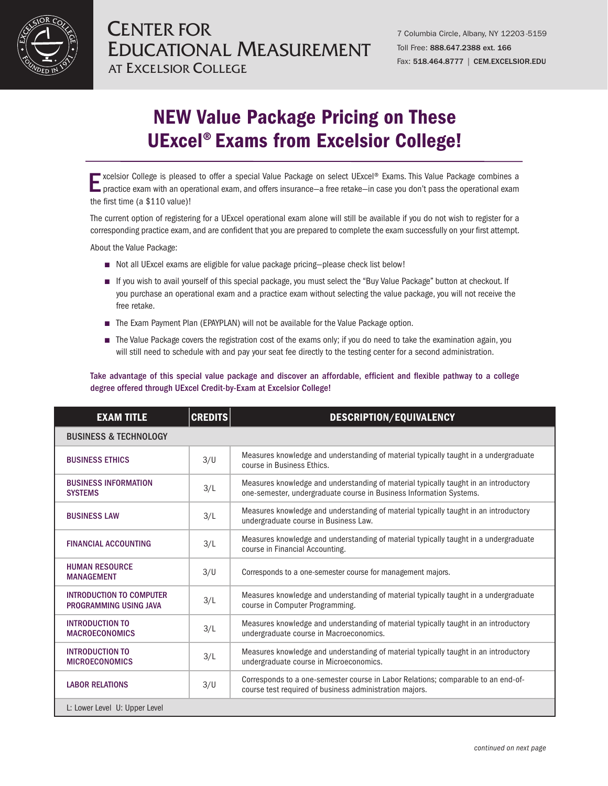

## NEW Value Package Pricing on These UExcel® Exams from Excelsior College!

xcelsior College is pleased to offer a special Value Package on select UExcel® Exams. This Value Package combines a<br>practice exam with an operational exam, and offers insurance—a free retake—in case you don't pass the oper the first time (a \$110 value)!

The current option of registering for a UExcel operational exam alone will still be available if you do not wish to register for a corresponding practice exam, and are confident that you are prepared to complete the exam successfully on your first attempt.

About the Value Package:

- Not all UExcel exams are eligible for value package pricing—please check list below!
- If you wish to avail yourself of this special package, you must select the "Buy Value Package" button at checkout. If you purchase an operational exam and a practice exam without selecting the value package, you will not receive the free retake.
- The Exam Payment Plan (EPAYPLAN) will not be available for the Value Package option.
- The Value Package covers the registration cost of the exams only; if you do need to take the examination again, you will still need to schedule with and pay your seat fee directly to the testing center for a second administration.

## Take advantage of this special value package and discover an affordable, efficient and flexible pathway to a college degree offered through UExcel Credit-by-Exam at Excelsior College!

| <b>EXAM TITLE</b>                                         | <b>CREDITS</b> | DESCRIPTION/EQUIVALENCY                                                                                                                                     |  |  |
|-----------------------------------------------------------|----------------|-------------------------------------------------------------------------------------------------------------------------------------------------------------|--|--|
| <b>BUSINESS &amp; TECHNOLOGY</b>                          |                |                                                                                                                                                             |  |  |
| <b>BUSINESS ETHICS</b>                                    | 3/U            | Measures knowledge and understanding of material typically taught in a undergraduate<br>course in Business Ethics.                                          |  |  |
| <b>BUSINESS INFORMATION</b><br><b>SYSTEMS</b>             | 3/L            | Measures knowledge and understanding of material typically taught in an introductory<br>one-semester, undergraduate course in Business Information Systems. |  |  |
| <b>BUSINESS LAW</b>                                       | 3/L            | Measures knowledge and understanding of material typically taught in an introductory<br>undergraduate course in Business Law.                               |  |  |
| <b>FINANCIAL ACCOUNTING</b>                               | 3/L            | Measures knowledge and understanding of material typically taught in a undergraduate<br>course in Financial Accounting.                                     |  |  |
| <b>HUMAN RESOURCE</b><br><b>MANAGEMENT</b>                | 3/U            | Corresponds to a one-semester course for management majors.                                                                                                 |  |  |
| <b>INTRODUCTION TO COMPUTER</b><br>PROGRAMMING USING JAVA | 3/L            | Measures knowledge and understanding of material typically taught in a undergraduate<br>course in Computer Programming.                                     |  |  |
| <b>INTRODUCTION TO</b><br><b>MACROECONOMICS</b>           | 3/L            | Measures knowledge and understanding of material typically taught in an introductory<br>undergraduate course in Macroeconomics.                             |  |  |
| <b>INTRODUCTION TO</b><br><b>MICROECONOMICS</b>           | 3/L            | Measures knowledge and understanding of material typically taught in an introductory<br>undergraduate course in Microeconomics.                             |  |  |
| <b>LABOR RELATIONS</b>                                    | 3/U            | Corresponds to a one-semester course in Labor Relations; comparable to an end-of-<br>course test required of business administration majors.                |  |  |
| L: Lower Level U: Upper Level                             |                |                                                                                                                                                             |  |  |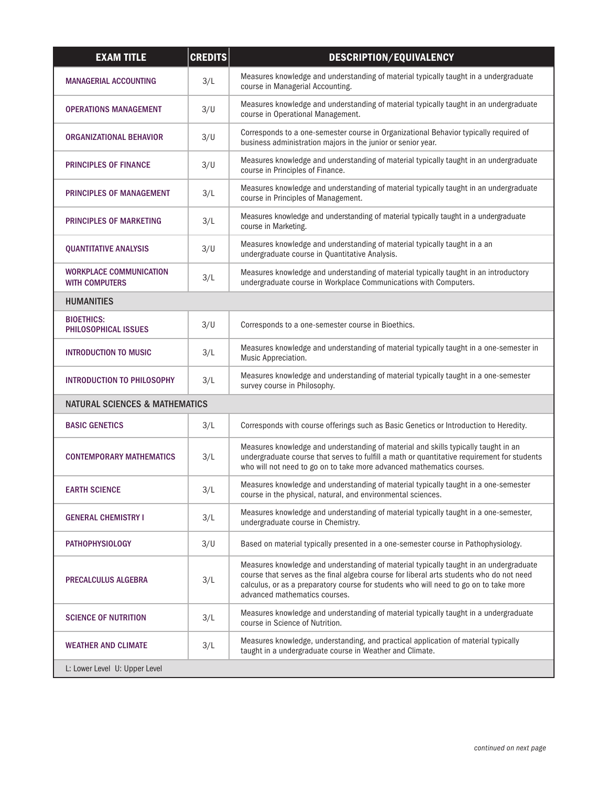| <b>EXAM TITLE</b>                                       | <b>CREDITS</b> | DESCRIPTION/EQUIVALENCY                                                                                                                                                                                                                                                                                     |  |  |
|---------------------------------------------------------|----------------|-------------------------------------------------------------------------------------------------------------------------------------------------------------------------------------------------------------------------------------------------------------------------------------------------------------|--|--|
| <b>MANAGERIAL ACCOUNTING</b>                            | 3/L            | Measures knowledge and understanding of material typically taught in a undergraduate<br>course in Managerial Accounting.                                                                                                                                                                                    |  |  |
| <b>OPERATIONS MANAGEMENT</b>                            | 3/U            | Measures knowledge and understanding of material typically taught in an undergraduate<br>course in Operational Management.                                                                                                                                                                                  |  |  |
| ORGANIZATIONAL BEHAVIOR                                 | 3/U            | Corresponds to a one-semester course in Organizational Behavior typically required of<br>business administration majors in the junior or senior year.                                                                                                                                                       |  |  |
| <b>PRINCIPLES OF FINANCE</b>                            | 3/U            | Measures knowledge and understanding of material typically taught in an undergraduate<br>course in Principles of Finance.                                                                                                                                                                                   |  |  |
| PRINCIPLES OF MANAGEMENT                                | 3/L            | Measures knowledge and understanding of material typically taught in an undergraduate<br>course in Principles of Management.                                                                                                                                                                                |  |  |
| PRINCIPLES OF MARKETING                                 | 3/L            | Measures knowledge and understanding of material typically taught in a undergraduate<br>course in Marketing.                                                                                                                                                                                                |  |  |
| <b>QUANTITATIVE ANALYSIS</b>                            | 3/U            | Measures knowledge and understanding of material typically taught in a an<br>undergraduate course in Quantitative Analysis.                                                                                                                                                                                 |  |  |
| <b>WORKPLACE COMMUNICATION</b><br><b>WITH COMPUTERS</b> | 3/L            | Measures knowledge and understanding of material typically taught in an introductory<br>undergraduate course in Workplace Communications with Computers.                                                                                                                                                    |  |  |
| <b>HUMANITIES</b>                                       |                |                                                                                                                                                                                                                                                                                                             |  |  |
| <b>BIOETHICS:</b><br>PHILOSOPHICAL ISSUES               | 3/U            | Corresponds to a one-semester course in Bioethics.                                                                                                                                                                                                                                                          |  |  |
| <b>INTRODUCTION TO MUSIC</b>                            | 3/L            | Measures knowledge and understanding of material typically taught in a one-semester in<br>Music Appreciation.                                                                                                                                                                                               |  |  |
| <b>INTRODUCTION TO PHILOSOPHY</b>                       | 3/L            | Measures knowledge and understanding of material typically taught in a one-semester<br>survey course in Philosophy.                                                                                                                                                                                         |  |  |
| <b>NATURAL SCIENCES &amp; MATHEMATICS</b>               |                |                                                                                                                                                                                                                                                                                                             |  |  |
| <b>BASIC GENETICS</b>                                   | 3/L            | Corresponds with course offerings such as Basic Genetics or Introduction to Heredity.                                                                                                                                                                                                                       |  |  |
| <b>CONTEMPORARY MATHEMATICS</b>                         | 3/L            | Measures knowledge and understanding of material and skills typically taught in an<br>undergraduate course that serves to fulfill a math or quantitative requirement for students<br>who will not need to go on to take more advanced mathematics courses.                                                  |  |  |
| <b>EARTH SCIENCE</b>                                    | 3/L            | Measures knowledge and understanding of material typically taught in a one-semester<br>course in the physical, natural, and environmental sciences.                                                                                                                                                         |  |  |
| <b>GENERAL CHEMISTRY I</b>                              | 3/L            | Measures knowledge and understanding of material typically taught in a one-semester,<br>undergraduate course in Chemistry.                                                                                                                                                                                  |  |  |
| <b>PATHOPHYSIOLOGY</b>                                  | 3/U            | Based on material typically presented in a one-semester course in Pathophysiology.                                                                                                                                                                                                                          |  |  |
| <b>PRECALCULUS ALGEBRA</b>                              | 3/L            | Measures knowledge and understanding of material typically taught in an undergraduate<br>course that serves as the final algebra course for liberal arts students who do not need<br>calculus, or as a preparatory course for students who will need to go on to take more<br>advanced mathematics courses. |  |  |
| <b>SCIENCE OF NUTRITION</b>                             | 3/L            | Measures knowledge and understanding of material typically taught in a undergraduate<br>course in Science of Nutrition.                                                                                                                                                                                     |  |  |
| <b>WEATHER AND CLIMATE</b>                              | 3/L            | Measures knowledge, understanding, and practical application of material typically<br>taught in a undergraduate course in Weather and Climate.                                                                                                                                                              |  |  |
| L: Lower Level U: Upper Level                           |                |                                                                                                                                                                                                                                                                                                             |  |  |